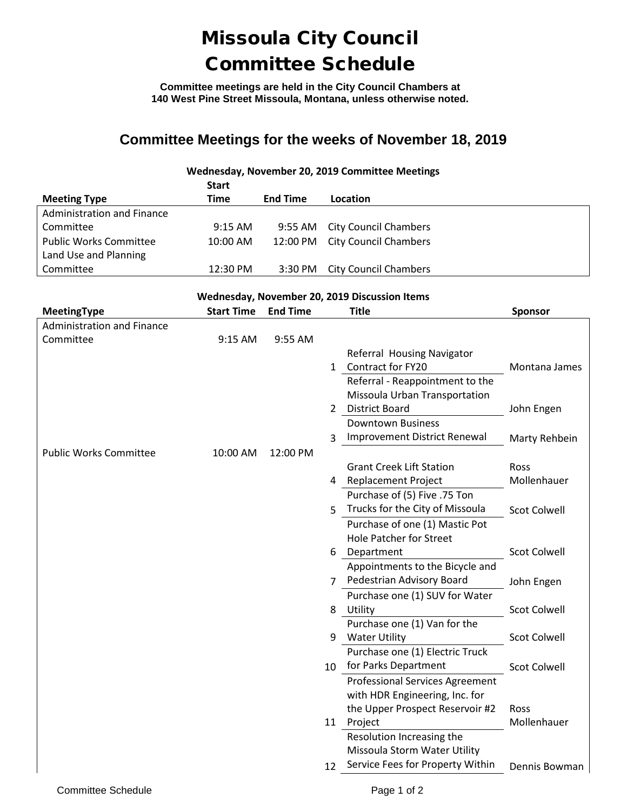## Missoula City Council Committee Schedule

**Committee meetings are held in the City Council Chambers at 140 West Pine Street Missoula, Montana, unless otherwise noted.**

### **Committee Meetings for the weeks of November 18, 2019**

### **Wednesday, November 20, 2019 Committee Meetings**

|                               | <b>Start</b>       |                 |                              |
|-------------------------------|--------------------|-----------------|------------------------------|
| <b>Meeting Type</b>           | Time               | <b>End Time</b> | Location                     |
| Administration and Finance    |                    |                 |                              |
| Committee                     | $9:15$ AM          | 9:55 AM         | <b>City Council Chambers</b> |
| <b>Public Works Committee</b> | $10:00$ AM         | 12:00 PM        | <b>City Council Chambers</b> |
| Land Use and Planning         |                    |                 |                              |
| Committee                     | $12:30 \text{ PM}$ | 3:30 PM         | <b>City Council Chambers</b> |

#### **Wednesday, November 20, 2019 Discussion Items**

| MeetingType                       | <b>Start Time</b> | <b>End Time</b> |              | <b>Title</b>                           | <b>Sponsor</b>      |
|-----------------------------------|-------------------|-----------------|--------------|----------------------------------------|---------------------|
| <b>Administration and Finance</b> |                   |                 |              |                                        |                     |
| Committee                         | 9:15 AM           | 9:55 AM         |              |                                        |                     |
|                                   |                   |                 |              | Referral Housing Navigator             |                     |
|                                   |                   |                 | $\mathbf{1}$ | <b>Contract for FY20</b>               | Montana James       |
|                                   |                   |                 |              | Referral - Reappointment to the        |                     |
|                                   |                   |                 |              | Missoula Urban Transportation          |                     |
|                                   |                   |                 | $2^{\circ}$  | <b>District Board</b>                  | John Engen          |
|                                   |                   |                 |              | <b>Downtown Business</b>               |                     |
|                                   |                   |                 | 3            | Improvement District Renewal           | Marty Rehbein       |
| <b>Public Works Committee</b>     | 10:00 AM          | 12:00 PM        |              |                                        |                     |
|                                   |                   |                 |              | <b>Grant Creek Lift Station</b>        | Ross                |
|                                   |                   |                 |              | 4 Replacement Project                  | Mollenhauer         |
|                                   |                   |                 |              | Purchase of (5) Five .75 Ton           |                     |
|                                   |                   |                 | 5            | Trucks for the City of Missoula        | <b>Scot Colwell</b> |
|                                   |                   |                 |              | Purchase of one (1) Mastic Pot         |                     |
|                                   |                   |                 |              | <b>Hole Patcher for Street</b>         |                     |
|                                   |                   |                 | 6            | Department                             | <b>Scot Colwell</b> |
|                                   |                   |                 |              | Appointments to the Bicycle and        |                     |
|                                   |                   |                 | 7            | Pedestrian Advisory Board              | John Engen          |
|                                   |                   |                 |              | Purchase one (1) SUV for Water         |                     |
|                                   |                   |                 | 8            | Utility                                | <b>Scot Colwell</b> |
|                                   |                   |                 |              | Purchase one (1) Van for the           |                     |
|                                   |                   |                 | 9            | <b>Water Utility</b>                   | <b>Scot Colwell</b> |
|                                   |                   |                 |              | Purchase one (1) Electric Truck        |                     |
|                                   |                   |                 | 10           | for Parks Department                   | <b>Scot Colwell</b> |
|                                   |                   |                 |              | <b>Professional Services Agreement</b> |                     |
|                                   |                   |                 |              | with HDR Engineering, Inc. for         |                     |
|                                   |                   |                 |              | the Upper Prospect Reservoir #2        | Ross                |
|                                   |                   |                 | 11           | Project                                | Mollenhauer         |
|                                   |                   |                 |              | Resolution Increasing the              |                     |
|                                   |                   |                 |              | Missoula Storm Water Utility           |                     |
|                                   |                   |                 | 12           | Service Fees for Property Within       | Dennis Bowman       |